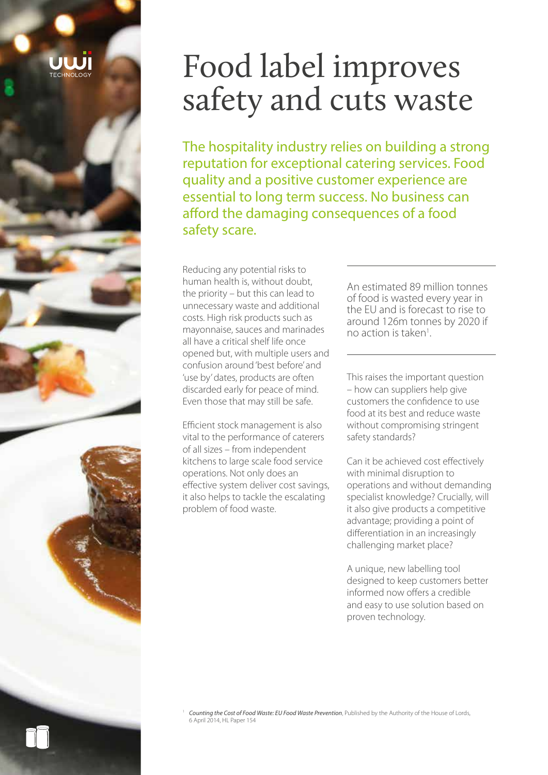# Food label improves safety and cuts waste

The hospitality industry relies on building a strong reputation for exceptional catering services. Food quality and a positive customer experience are essential to long term success. No business can afford the damaging consequences of a food safety scare.

Reducing any potential risks to human health is, without doubt, the priority – but this can lead to unnecessary waste and additional costs. High risk products such as mayonnaise, sauces and marinades all have a critical shelf life once opened but, with multiple users and confusion around 'best before' and 'use by' dates, products are often discarded early for peace of mind. Even those that may still be safe.

Efficient stock management is also vital to the performance of caterers of all sizes – from independent kitchens to large scale food service operations. Not only does an effective system deliver cost savings, it also helps to tackle the escalating problem of food waste.

An estimated 89 million tonnes of food is wasted every year in the EU and is forecast to rise to around 126m tonnes by 2020 if no action is taken<sup>1</sup>. .

This raises the important question – how can suppliers help give customers the confidence to use food at its best and reduce waste without compromising stringent safety standards?

Can it be achieved cost effectively with minimal disruption to operations and without demanding specialist knowledge? Crucially, will it also give products a competitive advantage; providing a point of differentiation in an increasingly challenging market place?

A unique, new labelling tool designed to keep customers better informed now offers a credible and easy to use solution based on proven technology.